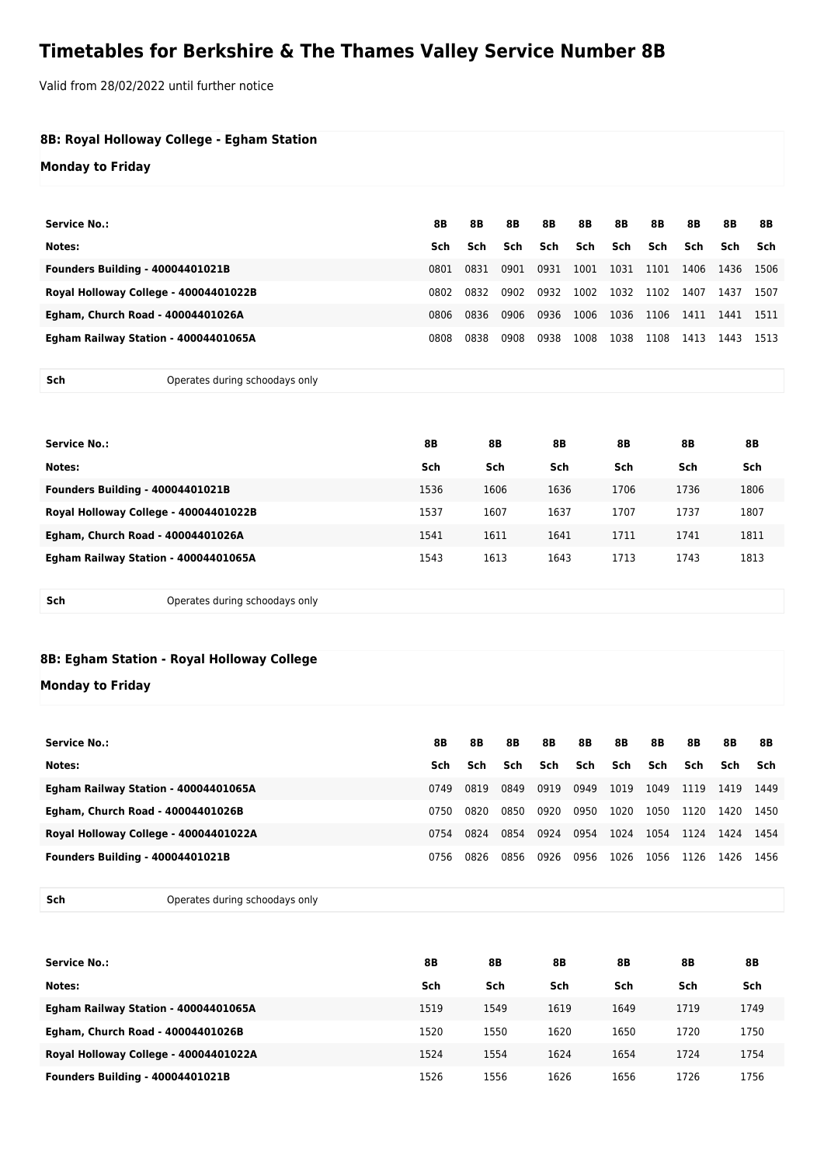## **Timetables for Berkshire & The Thames Valley Service Number 8B**

Valid from 28/02/2022 until further notice

| 8B: Royal Holloway College - Egham Station<br><b>Monday to Friday</b> |                                |      |      |      |      |      |           |      |           |           |      |
|-----------------------------------------------------------------------|--------------------------------|------|------|------|------|------|-----------|------|-----------|-----------|------|
| <b>Service No.:</b>                                                   |                                | 8B   | 8B   | 8B   | 8B   | 8B   | <b>8B</b> | 8B   | 8B        | <b>8B</b> | 8B   |
| Notes:                                                                |                                | Sch  | Sch  | Sch  | Sch  | Sch  | Sch       | Sch  | Sch       | Sch       | Sch  |
| <b>Founders Building - 40004401021B</b>                               |                                | 0801 | 0831 | 0901 | 0931 | 1001 | 1031      | 1101 | 1406      | 1436      | 1506 |
| Royal Holloway College - 40004401022B                                 |                                | 0802 | 0832 | 0902 | 0932 | 1002 | 1032      | 1102 | 1407      | 1437      | 1507 |
| Egham, Church Road - 40004401026A                                     |                                | 0806 | 0836 | 0906 | 0936 | 1006 | 1036      | 1106 | 1411      | 1441      | 1511 |
| Egham Railway Station - 40004401065A                                  |                                | 0808 | 0838 | 0908 | 0938 | 1008 | 1038      | 1108 | 1413      | 1443      | 1513 |
| Sch                                                                   | Operates during schoodays only |      |      |      |      |      |           |      |           |           |      |
|                                                                       |                                |      |      |      |      |      |           |      |           |           |      |
| <b>Service No.:</b>                                                   |                                | 8B   |      | 8B   | 8B   |      | 8B        |      | <b>8B</b> |           | 8B   |

| Notes:                                  | Sch  | Sch  | Sch  | Sch  | Sch  | Sch  |
|-----------------------------------------|------|------|------|------|------|------|
| <b>Founders Building - 40004401021B</b> | 1536 | 1606 | 1636 | 1706 | 1736 | 1806 |
| Royal Holloway College - 40004401022B   | 1537 | 1607 | 1637 | 1707 | 1737 | 1807 |
| Egham, Church Road - 40004401026A       | 1541 | 1611 | 1641 | 1711 | 1741 | 1811 |
| Egham Railway Station - 40004401065A    | 1543 | 1613 | 1643 | 1713 | 1743 | 1813 |
|                                         |      |      |      |      |      |      |

**Sch** Operates during schoodays only

## **8B: Egham Station - Royal Holloway College**

## **Monday to Friday**

| Service No.:                            | 8B   | 8B   | 8B   | 8B   | 8B      | 8B   | 8B   | 8B   | 8B   | 8B   |
|-----------------------------------------|------|------|------|------|---------|------|------|------|------|------|
| Notes:                                  | Sch  | Sch  | Sch  |      | Sch Sch | Sch  | Sch  | Sch  | Sch  | Sch  |
| Egham Railway Station - 40004401065A    | 0749 | 0819 | 0849 | 0919 | 0949    | 1019 | 1049 | 1119 | 1419 | 1449 |
| Egham, Church Road - 40004401026B       | 0750 | 0820 | 0850 | 0920 | 0950    | 1020 | 1050 | 1120 | 1420 | 1450 |
| Royal Holloway College - 40004401022A   | 0754 | 0824 | 0854 | 0924 | 0954    | 1024 | 1054 | 1124 | 1424 | 1454 |
| <b>Founders Building - 40004401021B</b> | 0756 | 0826 | 0856 | 0926 | 0956    | 1026 | 1056 | 1126 | 1426 | 1456 |

**Sch** Operates during schoodays only

| <b>Service No.:</b>                     | 8Β   | 8B   | 8B   | 8B   | 8B   | 8Β   |
|-----------------------------------------|------|------|------|------|------|------|
| Notes:                                  | Sch  | Sch  | Sch  | Sch  | Sch  | Sch  |
| Egham Railway Station - 40004401065A    | 1519 | 1549 | 1619 | 1649 | 1719 | 1749 |
| Egham, Church Road - 40004401026B       | 1520 | 1550 | 1620 | 1650 | 1720 | 1750 |
| Royal Holloway College - 40004401022A   | 1524 | 1554 | 1624 | 1654 | 1724 | 1754 |
| <b>Founders Building - 40004401021B</b> | 1526 | 1556 | 1626 | 1656 | 1726 | 1756 |